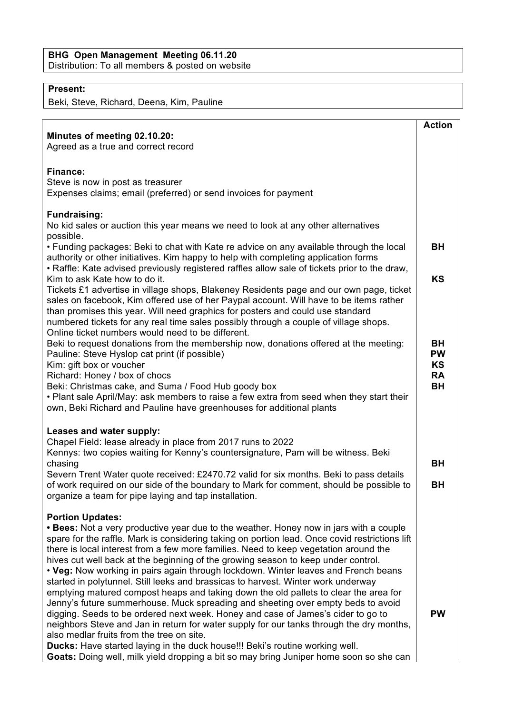## **Present:**

Beki, Steve, Richard, Deena, Kim, Pauline

|                                                                                                                                                                                        | <b>Action</b>          |
|----------------------------------------------------------------------------------------------------------------------------------------------------------------------------------------|------------------------|
| Minutes of meeting 02.10.20:                                                                                                                                                           |                        |
| Agreed as a true and correct record                                                                                                                                                    |                        |
| <b>Finance:</b>                                                                                                                                                                        |                        |
| Steve is now in post as treasurer                                                                                                                                                      |                        |
| Expenses claims; email (preferred) or send invoices for payment                                                                                                                        |                        |
| <b>Fundraising:</b>                                                                                                                                                                    |                        |
| No kid sales or auction this year means we need to look at any other alternatives<br>possible.                                                                                         |                        |
| • Funding packages: Beki to chat with Kate re advice on any available through the local                                                                                                | <b>BH</b>              |
| authority or other initiatives. Kim happy to help with completing application forms<br>• Raffle: Kate advised previously registered raffles allow sale of tickets prior to the draw,   |                        |
| Kim to ask Kate how to do it.                                                                                                                                                          | <b>KS</b>              |
| Tickets £1 advertise in village shops, Blakeney Residents page and our own page, ticket                                                                                                |                        |
| sales on facebook, Kim offered use of her Paypal account. Will have to be items rather<br>than promises this year. Will need graphics for posters and could use standard               |                        |
| numbered tickets for any real time sales possibly through a couple of village shops.                                                                                                   |                        |
| Online ticket numbers would need to be different.                                                                                                                                      |                        |
| Beki to request donations from the membership now, donations offered at the meeting:<br>Pauline: Steve Hyslop cat print (if possible)                                                  | BH<br><b>PW</b>        |
| Kim: gift box or voucher                                                                                                                                                               | <b>KS</b>              |
| Richard: Honey / box of chocs<br>Beki: Christmas cake, and Suma / Food Hub goody box                                                                                                   | <b>RA</b><br><b>BH</b> |
| . Plant sale April/May: ask members to raise a few extra from seed when they start their                                                                                               |                        |
| own, Beki Richard and Pauline have greenhouses for additional plants                                                                                                                   |                        |
| Leases and water supply:                                                                                                                                                               |                        |
| Chapel Field: lease already in place from 2017 runs to 2022                                                                                                                            |                        |
| Kennys: two copies waiting for Kenny's countersignature, Pam will be witness. Beki                                                                                                     |                        |
| chasing<br>Severn Trent Water quote received: £2470.72 valid for six months. Beki to pass details                                                                                      | <b>BH</b>              |
| of work required on our side of the boundary to Mark for comment, should be possible to                                                                                                | <b>BH</b>              |
| organize a team for pipe laying and tap installation.                                                                                                                                  |                        |
| <b>Portion Updates:</b>                                                                                                                                                                |                        |
| • Bees: Not a very productive year due to the weather. Honey now in jars with a couple                                                                                                 |                        |
| spare for the raffle. Mark is considering taking on portion lead. Once covid restrictions lift<br>there is local interest from a few more families. Need to keep vegetation around the |                        |
| hives cut well back at the beginning of the growing season to keep under control.                                                                                                      |                        |
| • Veg: Now working in pairs again through lockdown. Winter leaves and French beans                                                                                                     |                        |
| started in polytunnel. Still leeks and brassicas to harvest. Winter work underway<br>emptying matured compost heaps and taking down the old pallets to clear the area for              |                        |
| Jenny's future summerhouse. Muck spreading and sheeting over empty beds to avoid                                                                                                       |                        |
| digging. Seeds to be ordered next week. Honey and case of James's cider to go to<br>neighbors Steve and Jan in return for water supply for our tanks through the dry months,           | <b>PW</b>              |
| also medlar fruits from the tree on site.                                                                                                                                              |                        |
| Ducks: Have started laying in the duck house!!! Beki's routine working well.                                                                                                           |                        |
| Goats: Doing well, milk yield dropping a bit so may bring Juniper home soon so she can                                                                                                 |                        |